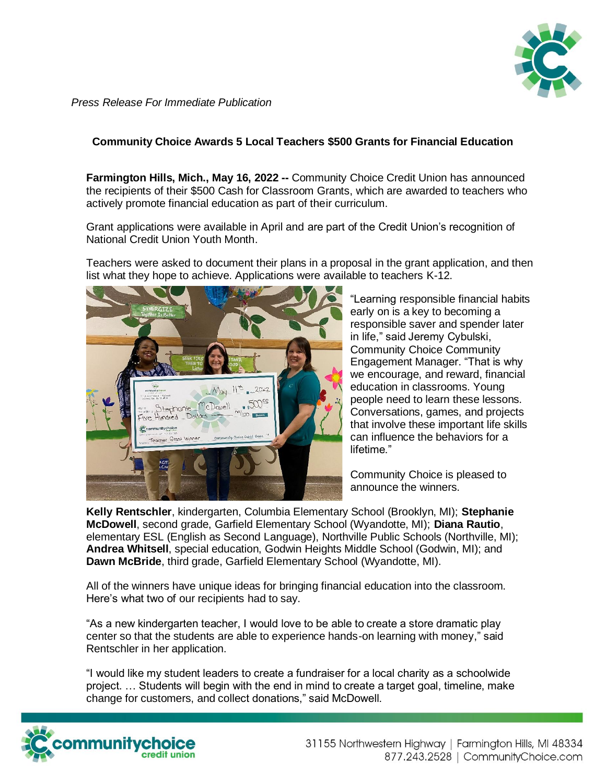

*Press Release For Immediate Publication*

## **Community Choice Awards 5 Local Teachers \$500 Grants for Financial Education**

**Farmington Hills, Mich., May 16, 2022 --** Community Choice Credit Union has announced the recipients of their \$500 Cash for Classroom Grants, which are awarded to teachers who actively promote financial education as part of their curriculum.

Grant applications were available in April and are part of the Credit Union's recognition of National Credit Union Youth Month.

Teachers were asked to document their plans in a proposal in the grant application, and then list what they hope to achieve. Applications were available to teachers K-12.



"Learning responsible financial habits early on is a key to becoming a responsible saver and spender later in life," said Jeremy Cybulski, Community Choice Community Engagement Manager. "That is why we encourage, and reward, financial education in classrooms. Young people need to learn these lessons. Conversations, games, and projects that involve these important life skills can influence the behaviors for a lifetime."

Community Choice is pleased to announce the winners.

**Kelly Rentschler**, kindergarten, Columbia Elementary School (Brooklyn, MI); **Stephanie McDowell**, second grade, Garfield Elementary School (Wyandotte, MI); **Diana Rautio**, elementary ESL (English as Second Language), Northville Public Schools (Northville, MI); **Andrea Whitsell**, special education, Godwin Heights Middle School (Godwin, MI); and **Dawn McBride**, third grade, Garfield Elementary School (Wyandotte, MI).

All of the winners have unique ideas for bringing financial education into the classroom. Here's what two of our recipients had to say.

"As a new kindergarten teacher, I would love to be able to create a store dramatic play center so that the students are able to experience hands-on learning with money," said Rentschler in her application.

"I would like my student leaders to create a fundraiser for a local charity as a schoolwide project. … Students will begin with the end in mind to create a target goal, timeline, make change for customers, and collect donations," said McDowell.